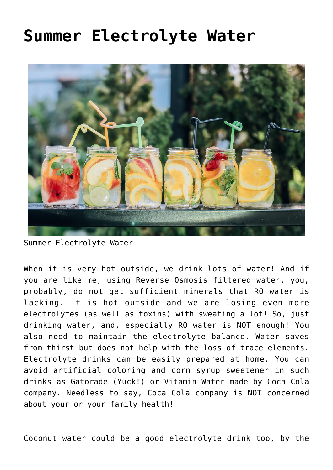## **[Summer Electrolyte Water](https://sproutshealth.com/summer-electrolyte-water/)**



Summer Electrolyte Water

When it is very hot outside, we drink lots of water! And if you are like me, using Reverse Osmosis filtered water, you, probably, do not get sufficient minerals that RO water is lacking. It is hot outside and we are losing even more electrolytes (as well as toxins) with sweating a lot! So, just drinking water, and, especially RO water is NOT enough! You also need to maintain the electrolyte balance. Water saves from thirst but does not help with the loss of trace elements. Electrolyte drinks can be easily prepared at home. You can avoid artificial coloring and corn syrup sweetener in such drinks as Gatorade (Yuck!) or Vitamin Water made by Coca Cola company. Needless to say, Coca Cola company is NOT concerned about your or your family health!

Coconut water could be a good electrolyte drink too, by the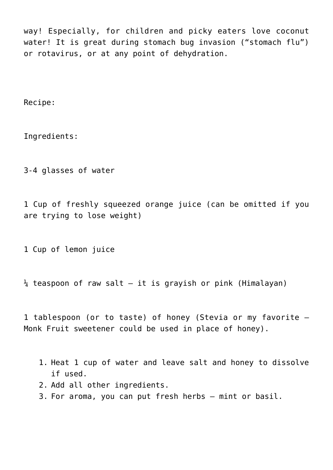way! Especially, for children and picky eaters love coconut water! It is great during stomach bug invasion ("stomach flu") or rotavirus, or at any point of dehydration.

Recipe:

Ingredients:

3-4 glasses of water

1 Cup of freshly squeezed orange juice (can be omitted if you are trying to lose weight)

1 Cup of lemon juice

 $\frac{1}{4}$  teaspoon of raw salt – it is grayish or pink (Himalayan)

1 tablespoon (or to taste) of honey (Stevia or my favorite – Monk Fruit sweetener could be used in place of honey).

- 1. Heat 1 cup of water and leave salt and honey to dissolve if used.
- 2. Add all other ingredients.
- 3. For aroma, you can put fresh herbs mint or basil.